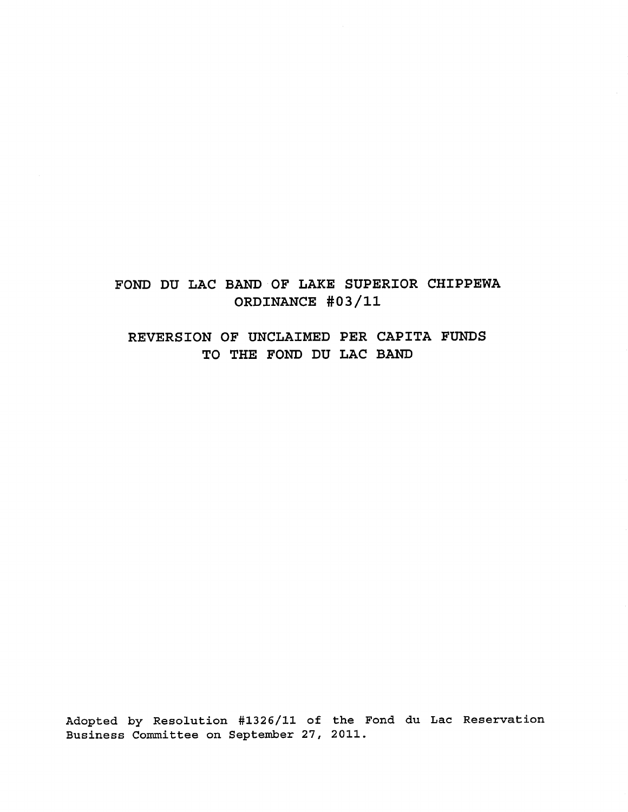FOND DU LAC BAND OF LAKE SUPERIOR CHIPPEWA ORDINANCE #03/11

REVERSION OF UNCLAIMED PER CAPITA FUNDS TO THE FOND DU LAC BAND

Adopted by Resolution #1326/11 of the Fond du Lac Reservation Business Committee on September 27, 2011.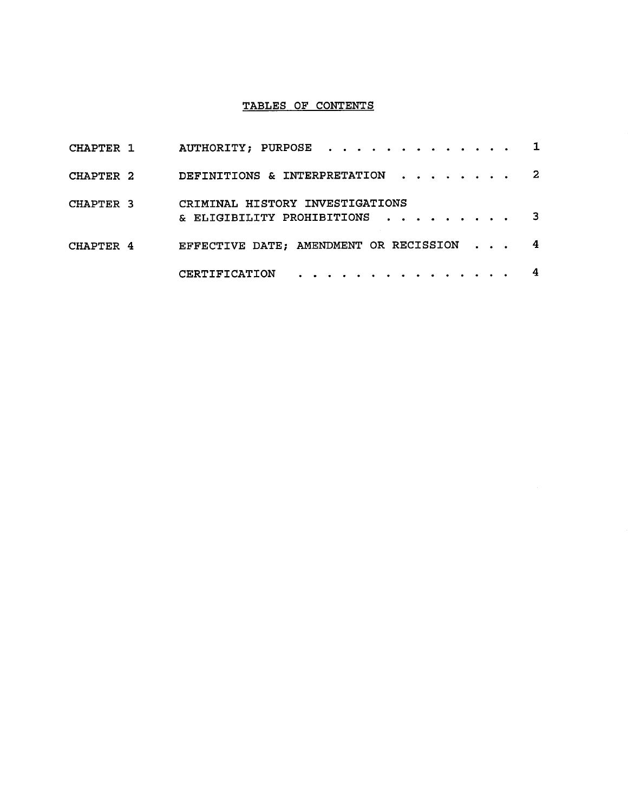# TABLES OF CONTENTS

| CHAPTER 1 | AUTHORITY; PURPOSE 1                                                                                              |  |  |
|-----------|-------------------------------------------------------------------------------------------------------------------|--|--|
| CHAPTER 2 | DEFINITIONS & INTERPRETATION 2                                                                                    |  |  |
| CHAPTER 3 | CRIMINAL HISTORY INVESTIGATIONS<br>& ELIGIBILITY PROHIBITIONS $\cdot \cdot \cdot \cdot \cdot \cdot \cdot \cdot$ 3 |  |  |
| CHAPTER 4 | EFFECTIVE DATE; AMENDMENT OR RECISSION 4                                                                          |  |  |
|           | $CERTIFICATION$                                                                                                   |  |  |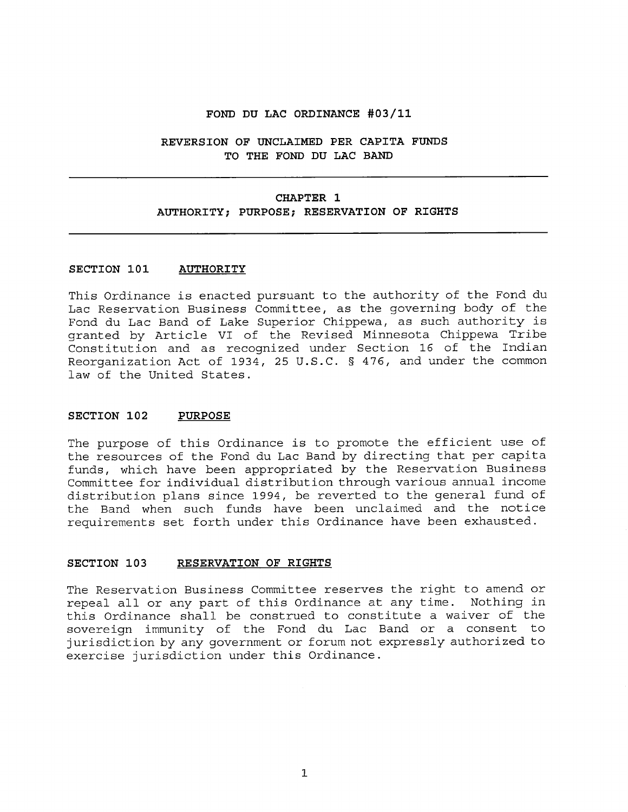#### **FOND DU LAC ORDINANCE #03/11**

# **REVERSION OF UNCLAIMED PER CAPITA FUNDS TO THE FOND DU LAC BAND**

#### **CHAPTER 1**

#### **AUTHORITY; PURPOSE; RESERVATION OF RIGHTS**

### **SECTION 101 AUTHORITY**

This Ordinance is enacted pursuant to the authority of the Fond du Lac Reservation Business Committee, as the governing body of the Fond du Lac Band of Lake Superior Chippewa, as such authority is granted by Article VI of the Revised Minnesota Chippewa Tribe Constitution and as recognized under Section 16 of the Indian Reorganization Act of 1934, 25 U.S.C. § 476, and under the common law of the United States.

#### **SECTION 102 PURPOSE**

The purpose of this Ordinance is to promote the efficient use of the resources of the Fond du Lac Band by directing that per capita funds, which have been appropriated by the Reservation Business Committee for individual distribution through various annual income distribution plans since 1994, be reverted to the general fund of the Band when such funds have been unclaimed and the notice requirements set forth under this Ordinance have been exhausted.

#### **SECTION 103 RESERVATION OF RIGHTS**

The Reservation Business Committee reserves the right to amend or repeal all or any part of this Ordinance at any time. Nothing in this Ordinance shall be construed to constitute a waiver of the sovereign immunity of the Fond du Lac Band or a consent to jurisdiction by any government or forum not expressly authorized to exercise jurisdiction under this Ordinance.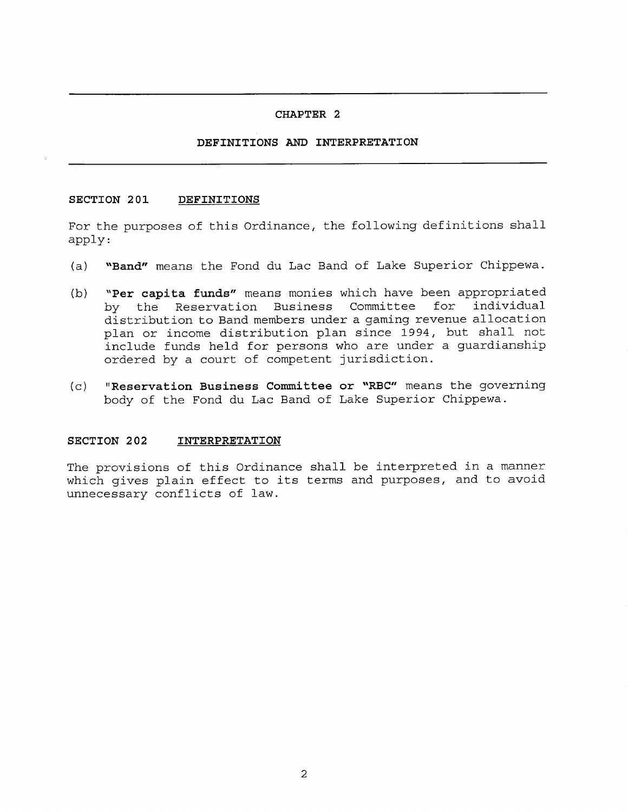#### **CHAPTER 2**

# **DEFINITIONS AND INTERPRETATION**

# **SECTION 201 DEFINITIONS**

For the purposes of this Ordinance, the following definitions shall apply:

- **(a) "Band"** means the Fond du Lac Band of Lake Superior Chippewa.
- **(b) "Per capita funds"** means monies which have been appropriated by the Reservation Business Committee distribution to Band members under a gaming revenue allocation plan or income distribution plan since 1994, but shall not include funds held for persons who are under a guardianship ordered by a court of competent jurisdiction.
- **(c) "Reservation Business Committee or "RBC"** means the governing body of the Fond du Lac Band of Lake Superior Chippewa.

# **SECTION 202 INTERPRETATION**

The provisions of this Ordinance shall be interpreted in a manner which gives plain effect to its terms and purposes, and to avoid unnecessary conflicts of law.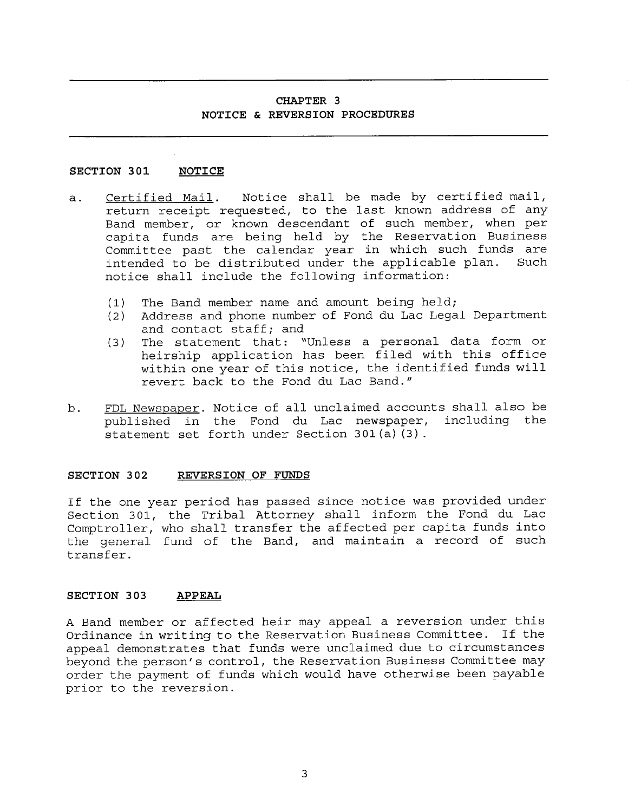# **CHAPTER 3 NOTICE** & **REVERSION PROCEDURES**

# **SECTION 301 NOTICE**

- a. Certified Mail. Notice shall be made by certified mail, return receipt requested, to the last known address of any Band member, or known descendant of such member, when per capita funds are being held by the Reservation Business Committee past the calendar year in which such funds are intended to be distributed under the applicable plan. Such notice shall include the following information:
	- (1) The Band member name and amount being held;
	- (2) Address and phone number of Fond du Lac Legal Department and contact staff; and
	- (3) The statement that: "Unless a personal data form or heirship application has been filed with this office within one year of this notice, the identified funds will revert back to the Fond du Lac Band."
- b. FDL Newspaper. Notice of all unclaimed accounts shall also be published in the Fond du Lac newspaper, including the statement set forth under Section 301(a)(3).

# **SECTION 302 REVERSION OF FUNDS**

If the one year period has passed since notice was provided under Section 301, the Tribal Attorney shall inform the Fond du Lac Comptroller, who shall transfer the affected per capita funds into the general fund of the Band, and maintain a record of such transfer.

# **SECTION 303 APPEAL**

A Band member or affected heir may appeal a reversion under this Ordinance in writing to the Reservation Business Committee. If the appeal demonstrates that funds were unclaimed due to circumstances beyond the person's control, the Reservation Business Committee may order the payment of funds which would have otherwise been payable prior to the reversion.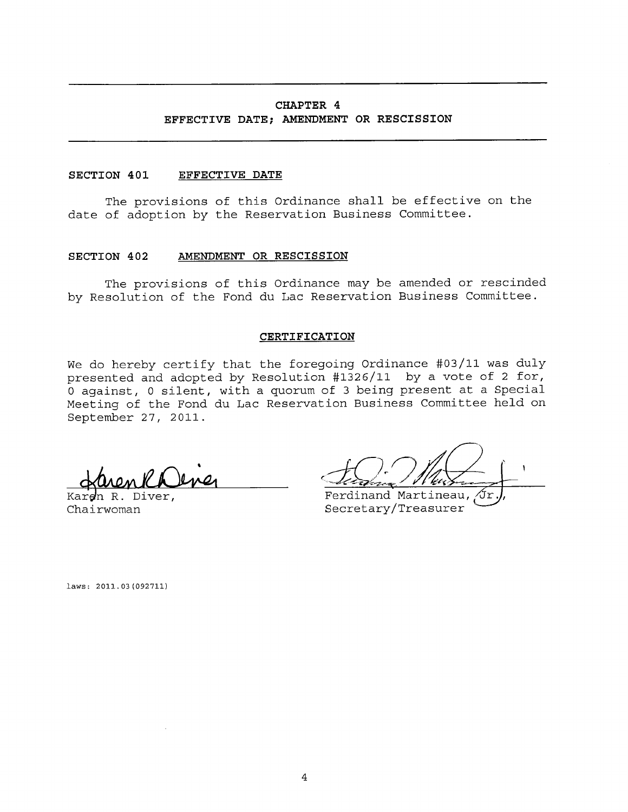# **CHAPTER 4 EFFECTIVE DATE; AMENDMENT OR RESCISSION**

# **SECTION 401 EFFECTIVE DATE**

The provisions of this Ordinance shall be effective on the date of adoption by the Reservation Business Committee.

#### **SECTION 402 AMENDMENT OR RESCISSION**

The provisions of this Ordinance may be amended or rescinded by Resolution of the Fond du Lac Reservation Business Committee.

#### **CERTIFICATION**

We do hereby certify that the foregoing Ordinance #03/11 was duly presented and adopted by Resolution #1326/11 by a vote of 2 for, 0 against, 0 silent, with a quorum of 3 being present at a Special Meeting of the Fond du Lac Reservation Business Committee held on September 27, 2011.

Kardn R. Diver. Chairwoman

Ferdinand Martineau, Secretary/Treasurer

laws: 2011.03(092711)